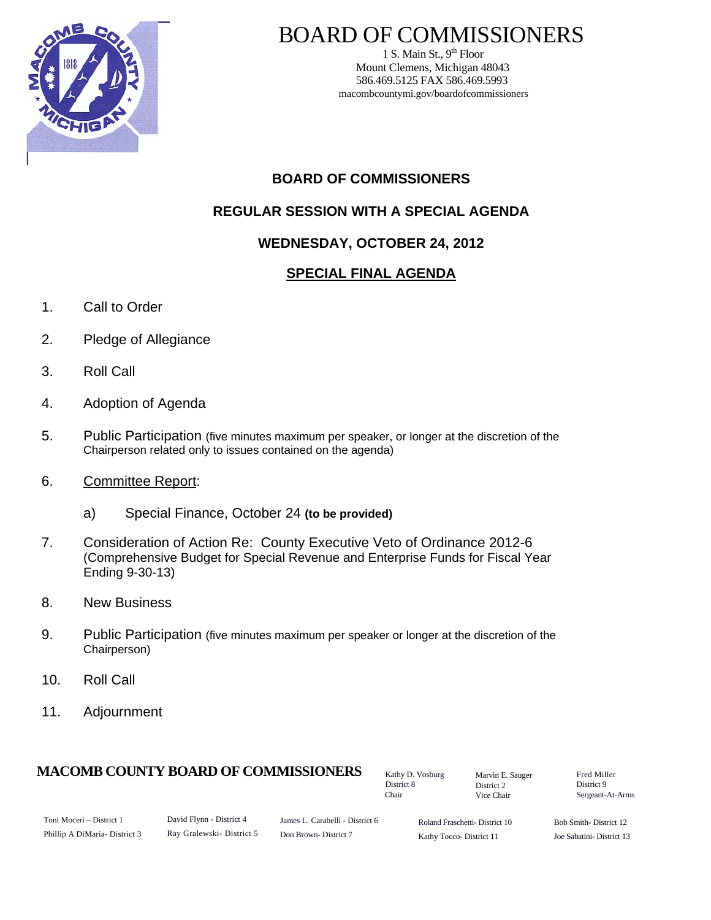

# BOARD OF COMMISSIONERS

1 S. Main St.,  $9<sup>th</sup>$  Floor Mount Clemens, Michigan 48043 586.469.5125 FAX 586.469.5993 macombcountymi.gov/boardofcommissioners

# **BOARD OF COMMISSIONERS**

# **REGULAR SESSION WITH A SPECIAL AGENDA**

# **WEDNESDAY, OCTOBER 24, 2012**

## **SPECIAL FINAL AGENDA**

- 1. Call to Order
- 2. Pledge of Allegiance
- 3. Roll Call
- 4. Adoption of Agenda
- 5. Public Participation (five minutes maximum per speaker, or longer at the discretion of the Chairperson related only to issues contained on the agenda)
- 6. Committee Report:
	- a) Special Finance, October 24 **(to be provided)**
- 7. Consideration of Action Re: County Executive Veto of Ordinance 2012-6 (Comprehensive Budget for Special Revenue and Enterprise Funds for Fiscal Year Ending 9-30-13)
- 8. New Business
- 9. Public Participation (five minutes maximum per speaker or longer at the discretion of the Chairperson)
- 10. Roll Call
- 11. Adjournment

### **MACOMB COUNTY BOARD OF COMMISSIONERS** Factor D. Vosburg Marvin F. Sauger Fred Miller

Kathy D. Vosburg District 8 Chair

Marvin E. Sauger District 2 Vice Chair

District 9 Sergeant-At-Arms

| Toni Moceri – District 1      |
|-------------------------------|
| Phillip A DiMaria- District 3 |

David Flynn - District 4 Ray Gralewski- District 5

James L. Carabelli - District 6 Don Brown- District 7

Roland Fraschetti- District 10 Kathy Tocco- District 11

Bob Smith- District 12 Joe Sabatini- District 13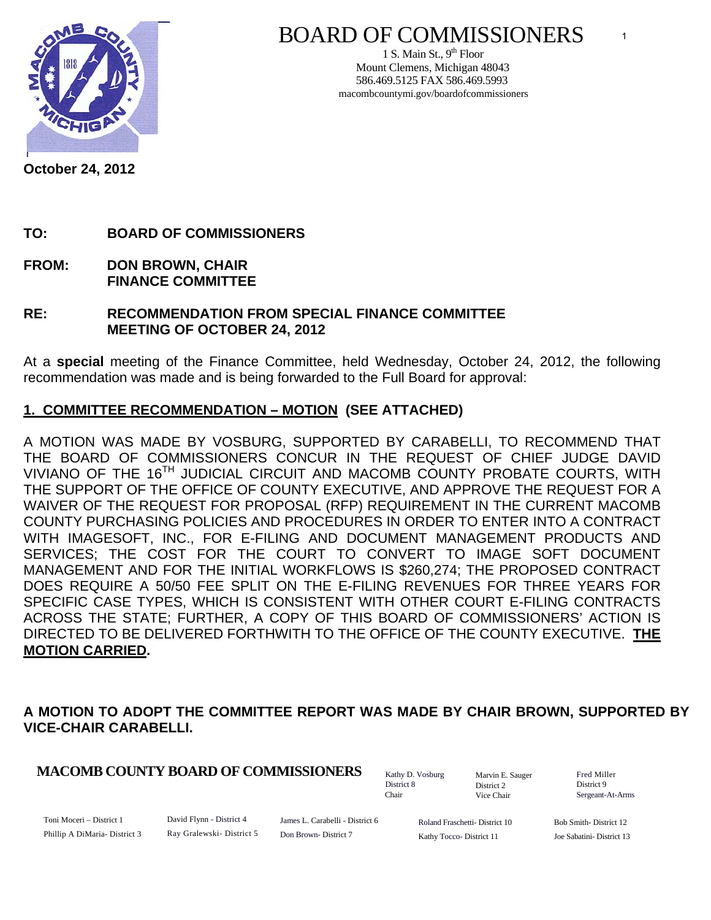

# BOARD OF COMMISSIONERS

1 S. Main St.,  $9<sup>th</sup>$  Floor Mount Clemens, Michigan 48043 586.469.5125 FAX 586.469.5993 macombcountymi.gov/boardofcommissioners

**October 24, 2012** 

## **TO: BOARD OF COMMISSIONERS**

**FROM: DON BROWN, CHAIR FINANCE COMMITTEE** 

#### **RE: RECOMMENDATION FROM SPECIAL FINANCE COMMITTEE MEETING OF OCTOBER 24, 2012**

At a **special** meeting of the Finance Committee, held Wednesday, October 24, 2012, the following recommendation was made and is being forwarded to the Full Board for approval:

## **1. COMMITTEE RECOMMENDATION – MOTION (SEE ATTACHED)**

A MOTION WAS MADE BY VOSBURG, SUPPORTED BY CARABELLI, TO RECOMMEND THAT THE BOARD OF COMMISSIONERS CONCUR IN THE REQUEST OF CHIEF JUDGE DAVID VIVIANO OF THE 16<sup>TH</sup> JUDICIAL CIRCUIT AND MACOMB COUNTY PROBATE COURTS, WITH THE SUPPORT OF THE OFFICE OF COUNTY EXECUTIVE, AND APPROVE THE REQUEST FOR A WAIVER OF THE REQUEST FOR PROPOSAL (RFP) REQUIREMENT IN THE CURRENT MACOMB COUNTY PURCHASING POLICIES AND PROCEDURES IN ORDER TO ENTER INTO A CONTRACT WITH IMAGESOFT, INC., FOR E-FILING AND DOCUMENT MANAGEMENT PRODUCTS AND SERVICES; THE COST FOR THE COURT TO CONVERT TO IMAGE SOFT DOCUMENT MANAGEMENT AND FOR THE INITIAL WORKFLOWS IS \$260,274; THE PROPOSED CONTRACT DOES REQUIRE A 50/50 FEE SPLIT ON THE E-FILING REVENUES FOR THREE YEARS FOR SPECIFIC CASE TYPES, WHICH IS CONSISTENT WITH OTHER COURT E-FILING CONTRACTS ACROSS THE STATE; FURTHER, A COPY OF THIS BOARD OF COMMISSIONERS' ACTION IS DIRECTED TO BE DELIVERED FORTHWITH TO THE OFFICE OF THE COUNTY EXECUTIVE. **THE MOTION CARRIED.** 

## **A MOTION TO ADOPT THE COMMITTEE REPORT WAS MADE BY CHAIR BROWN, SUPPORTED BY VICE-CHAIR CARABELLI.**

### **MACOMB COUNTY BOARD OF COMMISSIONERS** Fathy D. Vosburg Martin E. Square Fred Miller

Kathy D. Vosburg District 8 Chair

Marvin E. Sauger District 2 Vice Chair

District 9 Sergeant-At-Arms

Toni Moceri – District 1 Phillip A DiMaria- District 3 David Flynn - District 4 Ray Gralewski- District 5

James L. Carabelli - District 6 Don Brown- District 7

Roland Fraschetti- District 10 Kathy Tocco- District 11

Bob Smith- District 12 Joe Sabatini- District 13

1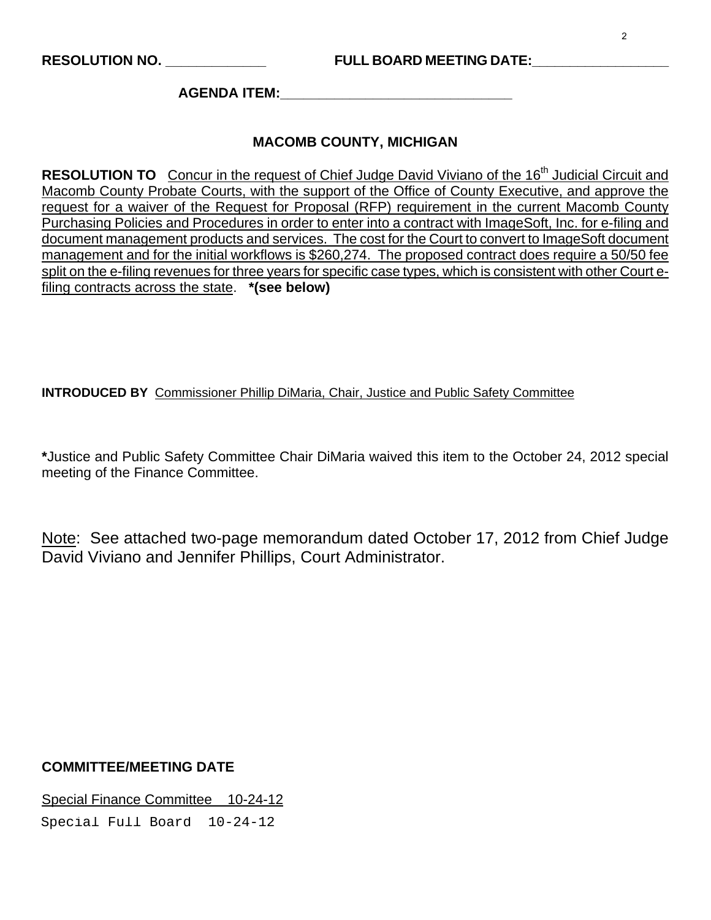**AGENDA ITEM:\_\_\_\_\_\_\_\_\_\_\_\_\_\_\_\_\_\_\_\_\_\_\_\_\_\_\_\_\_\_** 

#### **MACOMB COUNTY, MICHIGAN**

**RESOLUTION TO** Concur in the request of Chief Judge David Viviano of the 16<sup>th</sup> Judicial Circuit and Macomb County Probate Courts, with the support of the Office of County Executive, and approve the request for a waiver of the Request for Proposal (RFP) requirement in the current Macomb County Purchasing Policies and Procedures in order to enter into a contract with ImageSoft, Inc. for e-filing and document management products and services. The cost for the Court to convert to ImageSoft document management and for the initial workflows is \$260,274. The proposed contract does require a 50/50 fee split on the e-filing revenues for three years for specific case types, which is consistent with other Court efiling contracts across the state. **\*(see below)** 

#### **INTRODUCED BY** Commissioner Phillip DiMaria, Chair, Justice and Public Safety Committee

**\***Justice and Public Safety Committee Chair DiMaria waived this item to the October 24, 2012 special meeting of the Finance Committee.

Note: See attached two-page memorandum dated October 17, 2012 from Chief Judge David Viviano and Jennifer Phillips, Court Administrator.

#### **COMMITTEE/MEETING DATE**

Special Finance Committee 10-24-12

Special Full Board 10-24-12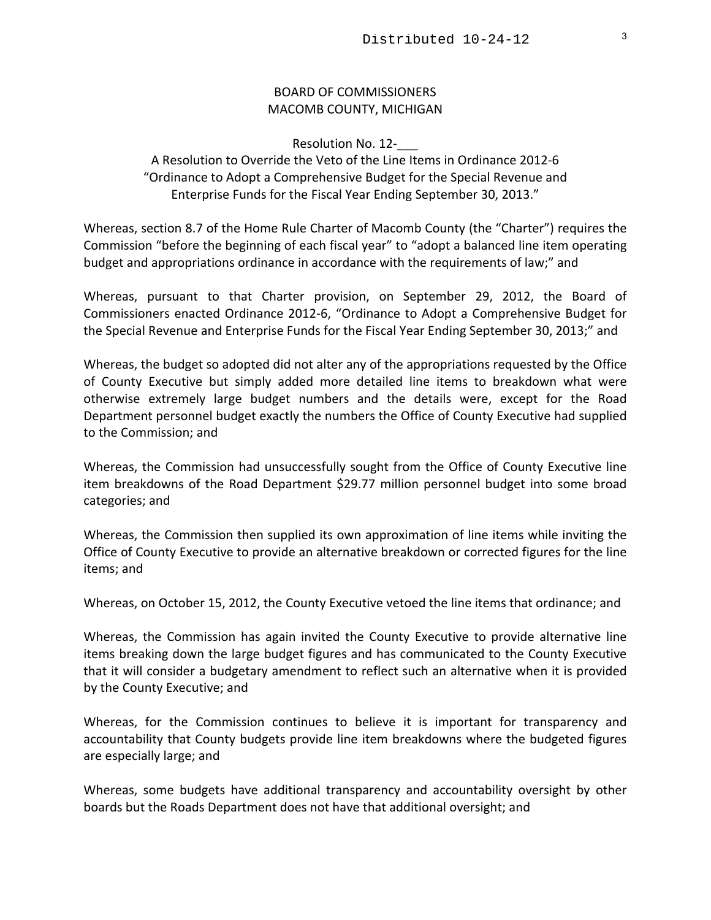#### BOARD OF COMMISSIONERS MACOMB COUNTY, MICHIGAN

Resolution No. 12-

A Resolution to Override the Veto of the Line Items in Ordinance 2012‐6 "Ordinance to Adopt a Comprehensive Budget for the Special Revenue and Enterprise Funds for the Fiscal Year Ending September 30, 2013."

Whereas, section 8.7 of the Home Rule Charter of Macomb County (the "Charter") requires the Commission "before the beginning of each fiscal year" to "adopt a balanced line item operating budget and appropriations ordinance in accordance with the requirements of law;" and

Whereas, pursuant to that Charter provision, on September 29, 2012, the Board of Commissioners enacted Ordinance 2012‐6, "Ordinance to Adopt a Comprehensive Budget for the Special Revenue and Enterprise Funds for the Fiscal Year Ending September 30, 2013;" and

Whereas, the budget so adopted did not alter any of the appropriations requested by the Office of County Executive but simply added more detailed line items to breakdown what were otherwise extremely large budget numbers and the details were, except for the Road Department personnel budget exactly the numbers the Office of County Executive had supplied to the Commission; and

Whereas, the Commission had unsuccessfully sought from the Office of County Executive line item breakdowns of the Road Department \$29.77 million personnel budget into some broad categories; and

Whereas, the Commission then supplied its own approximation of line items while inviting the Office of County Executive to provide an alternative breakdown or corrected figures for the line items; and

Whereas, on October 15, 2012, the County Executive vetoed the line items that ordinance; and

Whereas, the Commission has again invited the County Executive to provide alternative line items breaking down the large budget figures and has communicated to the County Executive that it will consider a budgetary amendment to reflect such an alternative when it is provided by the County Executive; and

Whereas, for the Commission continues to believe it is important for transparency and accountability that County budgets provide line item breakdowns where the budgeted figures are especially large; and

Whereas, some budgets have additional transparency and accountability oversight by other boards but the Roads Department does not have that additional oversight; and